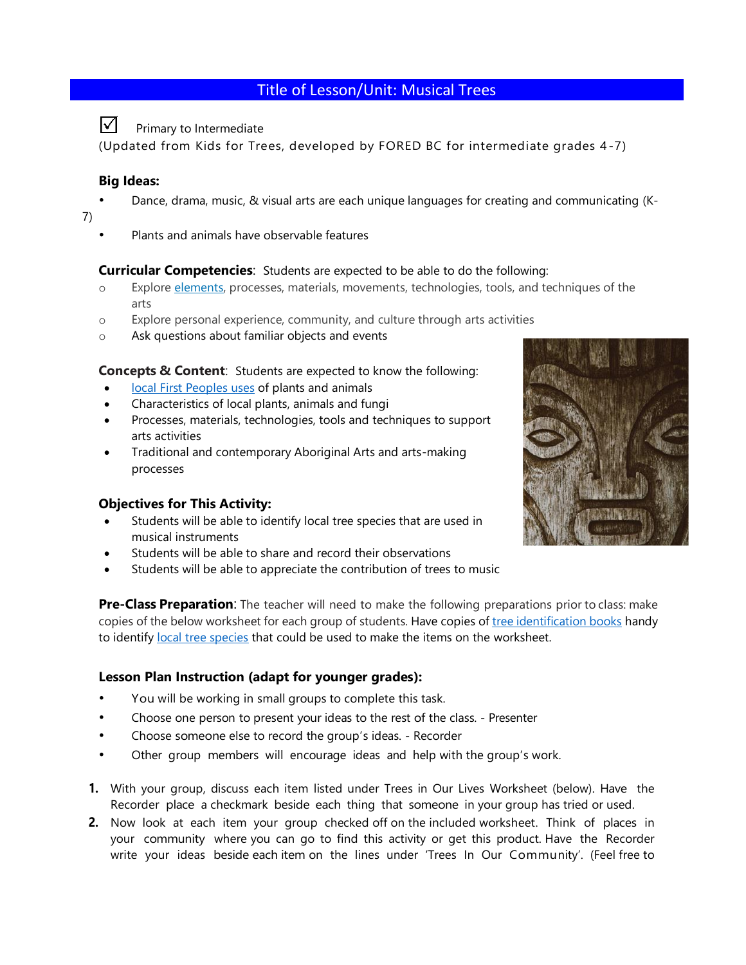# Title of Lesson/Unit: Musical Trees

#### ☑ Primary to Intermediate

(Updated from Kids for Trees, developed by FORED BC for intermediate grades 4 -7)

## **Big Ideas:**

- Dance, drama, music, & visual arts are each unique languages for creating and communicating (K-
- 7)
- Plants and animals have observable features

#### **Curricular Competencies**: Students are expected to be able to do the following:

- o Explore [elements,](https://curriculum.gov.bc.ca/curriculum/arts-education/2/core) processes, materials, movements, technologies, tools, and techniques of the arts
- o Explore personal experience, community, and culture through arts activities
- o Ask questions about familiar objects and events

**Concepts & Content**: Students are expected to know the following:

- [local First Peoples uses](https://curriculum.gov.bc.ca/curriculum/science/K/core) of plants and animals
- Characteristics of local plants, animals and fungi
- Processes, materials, technologies, tools and techniques to support arts activities
- Traditional and contemporary Aboriginal Arts and arts-making processes

### **Objectives for This Activity:**

- Students will be able to identify local tree species that are used in musical instruments
- Students will be able to share and record their observations
- Students will be able to appreciate the contribution of trees to music



**Pre-Class Preparation**: The teacher will need to make the following preparations prior to class: make copies of the below worksheet for each group of students. Have copies of [tree identification books](https://www.bcnfw.ca/teaching-forestry-resources/bc-tree-posters/) handy to identif[y local tree species](https://www.google.com/url?sa=t&rct=j&q=&esrc=s&source=web&cd=&cad=rja&uact=8&ved=2ahUKEwjbr4DirfLvAhWNvJ4KHUVmA9MQFjATegQIBBAD&url=https%3A%2F%2Fwww.for.gov.bc.ca%2Fhfd%2Flibrary%2Fdocuments%2Ftreebook%2Ftrees.htm&usg=AOvVaw2jm2XE13lCWtvDB2FKc1yw) that could be used to make the items on the worksheet.

### **Lesson Plan Instruction (adapt for younger grades):**

- You will be working in small groups to complete this task.
- Choose one person to present your ideas to the rest of the class. Presenter
- Choose someone else to record the group's ideas. Recorder
- Other group members will encourage ideas and help with the group's work.
- **1.** With your group, discuss each item listed under Trees in Our Lives Worksheet (below). Have the Recorder place a checkmark beside each thing that someone in your group has tried or used.
- **2.** Now look at each item your group checked off on the included worksheet. Think of places in your community where you can go to find this activity or get this product. Have the Recorder write your ideas beside each item on the lines under 'Trees In Our Community'. (Feel free to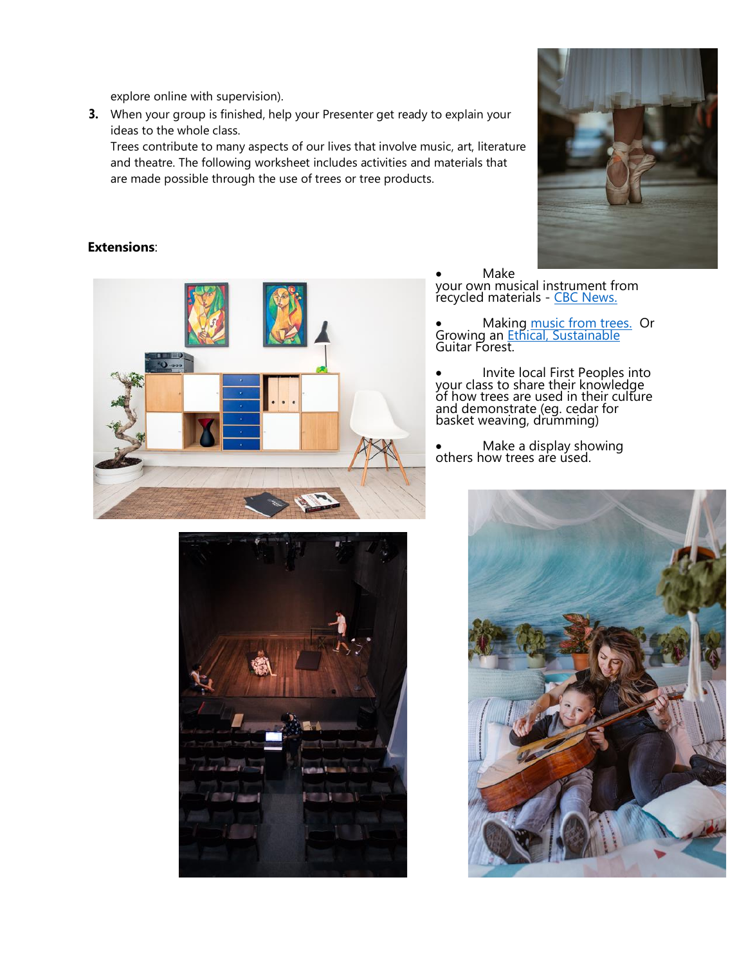explore online with supervision).

**3.** When your group is finished, help your Presenter get ready to explain your ideas to the whole class.

Trees contribute to many aspects of our lives that involve music, art, literature and theatre. The following worksheet includes activities and materials that are made possible through the use of trees or tree products.



### **Extensions**:





• Make

your own musical instrument from recycled materials - [CBC News.](https://www.cbc.ca/parents/play/view/activity_musical_instruments)

• Making [music from trees.](http://archive.kuow.org/post/carving-music-out-northwest-trees) Or Growing an **Ethical**, Sustainable Guitar Forest.

• Invite local First Peoples into your class to share their knowledge of how trees are used in their culture and demonstrate (eg. cedar for basket weaving, drumming)

• Make a display showing others how trees are used.